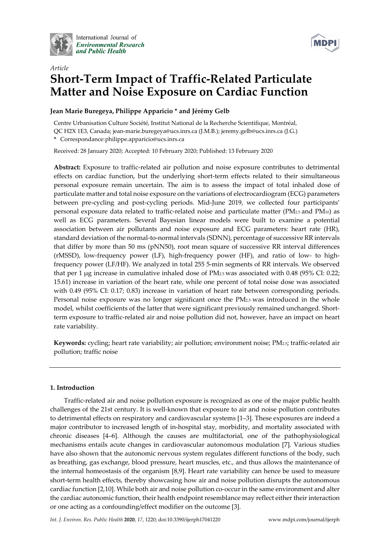

International Journal of **Environmental Research** and Public Health



# *Article* **Short‐Term Impact of Traffic‐Related Particulate Matter and Noise Exposure on Cardiac Function**

# **Jean Marie Buregeya, Philippe Apparicio \* and Jérémy Gelb**

Centre Urbanisation Culture Société, Institut National de la Recherche Scientifique, Montréal, QC H2X 1E3, Canada; jean‐marie.buregeya@ucs.inrs.ca (J.M.B.); jeremy.gelb@ucs.inrs.ca (J.G.) **\*** Correspondance:philippe.apparicio@ucs.inrs.ca

Received: 28 January 2020; Accepted: 10 February 2020; Published: 13 February 2020

**Abstract:** Exposure to traffic‐related air pollution and noise exposure contributes to detrimental effects on cardiac function, but the underlying short-term effects related to their simultaneous personal exposure remain uncertain. The aim is to assess the impact of total inhaled dose of particulate matter and total noise exposure on the variations of electrocardiogram (ECG) parameters between pre‐cycling and post‐cycling periods. Mid‐June 2019, we collected four participants' personal exposure data related to traffic‐related noise and particulate matter (PM2.5 and PM10) as well as ECG parameters. Several Bayesian linear models were built to examine a potential association between air pollutants and noise exposure and ECG parameters: heart rate (HR), standard deviation of the normal-to-normal intervals (SDNN), percentage of successive RR intervals that differ by more than 50 ms (pNN50), root mean square of successive RR interval differences (rMSSD), low‐frequency power (LF), high‐frequency power (HF), and ratio of low‐ to high‐ frequency power (LF/HF). We analyzed in total 255 5‐min segments of RR intervals. We observed that per 1 μg increase in cumulative inhaled dose of PM2.5 was associated with 0.48 (95% CI: 0.22; 15.61) increase in variation of the heart rate, while one percent of total noise dose was associated with 0.49 (95% CI: 0.17; 0.83) increase in variation of heart rate between corresponding periods. Personal noise exposure was no longer significant once the PM2.5 was introduced in the whole model, whilst coefficients of the latter that were significant previously remained unchanged. Shortterm exposure to traffic-related air and noise pollution did not, however, have an impact on heart rate variability.

Keywords: cycling; heart rate variability; air pollution; environment noise; PM<sub>2.5</sub>; traffic-related air pollution; traffic noise

# **1. Introduction**

Traffic‐related air and noise pollution exposure is recognized as one of the major public health challenges of the 21st century. It is well‐known that exposure to air and noise pollution contributes to detrimental effects on respiratory and cardiovascular systems [1–3]. These exposures are indeed a major contributor to increased length of in‐hospital stay, morbidity, and mortality associated with chronic diseases [4–6]. Although the causes are multifactorial, one of the pathophysiological mechanisms entails acute changes in cardiovascular autonomous modulation [7]. Various studies have also shown that the autonomic nervous system regulates different functions of the body, such as breathing, gas exchange, blood pressure, heart muscles, etc., and thus allows the maintenance of the internal homeostasis of the organism [8,9]. Heart rate variability can hence be used to measure short-term health effects, thereby showcasing how air and noise pollution disrupts the autonomous cardiac function [2,10]. While both air and noise pollution co-occur in the same environment and alter the cardiac autonomic function, their health endpoint resemblance may reflect either their interaction or one acting as a confounding/effect modifier on the outcome [3].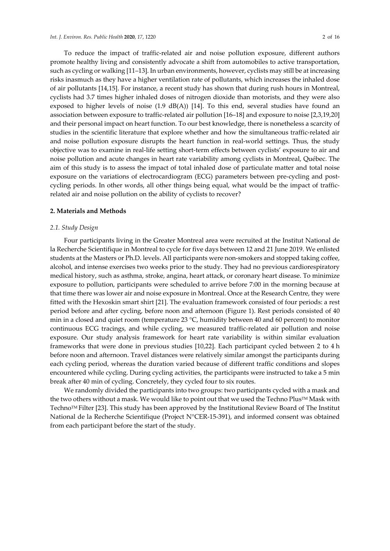To reduce the impact of traffic‐related air and noise pollution exposure, different authors promote healthy living and consistently advocate a shift from automobiles to active transportation, such as cycling or walking [11–13]. In urban environments, however, cyclists may still be at increasing risks inasmuch as they have a higher ventilation rate of pollutants, which increases the inhaled dose of air pollutants [14,15]. For instance, a recent study has shown that during rush hours in Montreal, cyclists had 3.7 times higher inhaled doses of nitrogen dioxide than motorists, and they were also exposed to higher levels of noise  $(1.9 \text{ dB}(A))$  [14]. To this end, several studies have found an association between exposure to traffic‐related air pollution [16–18] and exposure to noise [2,3,19,20] and their personal impact on heart function. To our best knowledge, there is nonetheless a scarcity of studies in the scientific literature that explore whether and how the simultaneous traffic-related air and noise pollution exposure disrupts the heart function in real‐world settings. Thus, the study objective was to examine in real‐life setting short‐term effects between cyclists' exposure to air and noise pollution and acute changes in heart rate variability among cyclists in Montreal, Québec. The aim of this study is to assess the impact of total inhaled dose of particulate matter and total noise exposure on the variations of electrocardiogram (ECG) parameters between pre-cycling and postcycling periods. In other words, all other things being equal, what would be the impact of trafficrelated air and noise pollution on the ability of cyclists to recover?

## **2. Materials and Methods**

## *2.1. Study Design*

Four participants living in the Greater Montreal area were recruited at the Institut National de la Recherche Scientifique in Montreal to cycle for five days between 12 and 21 June 2019. We enlisted students at the Masters or Ph.D. levels. All participants were non‐smokers and stopped taking coffee, alcohol, and intense exercises two weeks prior to the study. They had no previous cardiorespiratory medical history, such as asthma, stroke, angina, heart attack, or coronary heart disease. To minimize exposure to pollution, participants were scheduled to arrive before 7:00 in the morning because at that time there was lower air and noise exposure in Montreal. Once at the Research Centre, they were fitted with the Hexoskin smart shirt [21]. The evaluation framework consisted of four periods: a rest period before and after cycling, before noon and afternoon (Figure 1). Rest periods consisted of 40 min in a closed and quiet room (temperature 23 °C, humidity between 40 and 60 percent) to monitor continuous ECG tracings, and while cycling, we measured traffic-related air pollution and noise exposure. Our study analysis framework for heart rate variability is within similar evaluation frameworks that were done in previous studies [10,22]. Each participant cycled between 2 to 4 h before noon and afternoon. Travel distances were relatively similar amongst the participants during each cycling period, whereas the duration varied because of different traffic conditions and slopes encountered while cycling. During cycling activities, the participants were instructed to take a 5 min break after 40 min of cycling. Concretely, they cycled four to six routes.

We randomly divided the participants into two groups: two participants cycled with a mask and the two others without a mask. We would like to point out that we used the Techno Plus<sup>TM</sup> Mask with TechnoTM Filter [23]. This study has been approved by the Institutional Review Board of The Institut National de la Recherche Scientifique (Project N°CER‐15‐391), and informed consent was obtained from each participant before the start of the study.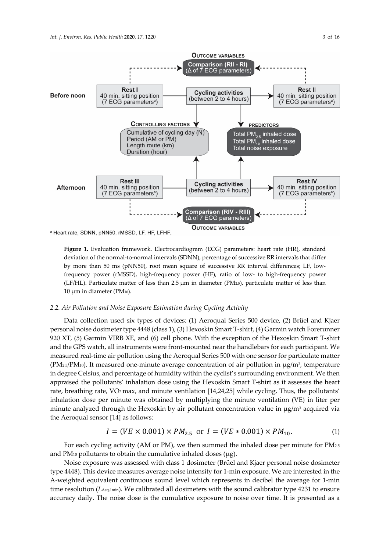



**Figure 1.** Evaluation framework. Electrocardiogram (ECG) parameters: heart rate (HR), standard deviation of the normal-to-normal intervals (SDNN), percentage of successive RR intervals that differ by more than 50 ms (pNN50), root mean square of successive RR interval differences; LF, lowfrequency power (rMSSD), high‐frequency power (HF), ratio of low‐ to high‐frequency power (LF/HL). Particulate matter of less than 2.5 μm in diameter (PM2.5), particulate matter of less than 10 μm in diameter (PM10).

#### *2.2. Air Pollution and Noise Exposure Estimation during Cycling Activity*

Data collection used six types of devices: (1) Aeroqual Series 500 device, (2) Brüel and Kjaer personal noise dosimetertype 4448 (class 1), (3) Hexoskin Smart T‐shirt, (4) Garmin watch Forerunner 920 XT, (5) Garmin VIRB XE, and (6) cell phone. With the exception of the Hexoskin Smart T‐shirt and the GPS watch, all instruments were front‐mounted near the handlebars for each participant. We measured real‐time air pollution using the Aeroqual Series 500 with one sensor for particulate matter (PM<sub>2.5</sub>/PM<sub>10</sub>). It measured one-minute average concentration of air pollution in  $\mu$ g/m<sup>3</sup>, temperature in degree Celsius, and percentage of humidity within the cyclist's surrounding environment. We then appraised the pollutants' inhalation dose using the Hexoskin Smart T‐shirt as it assesses the heart rate, breathing rate, VO<sub>2</sub> max, and minute ventilation [14,24,25] while cycling. Thus, the pollutants' inhalation dose per minute was obtained by multiplying the minute ventilation (VE) in liter per minute analyzed through the Hexoskin by air pollutant concentration value in  $\mu$ g/m<sup>3</sup> acquired via the Aeroqual sensor [14] as follows:

$$
I = (VE \times 0.001) \times PM_{2.5} \text{ or } I = (VE \times 0.001) \times PM_{10}. \tag{1}
$$

For each cycling activity (AM or PM), we then summed the inhaled dose per minute for PM2.5 and PM $10$  pollutants to obtain the cumulative inhaled doses ( $\mu$ g).

Noise exposure was assessed with class 1 dosimeter (Brüel and Kjaer personal noise dosimeter type 4448). This device measures average noise intensity for 1‐min exposure. We are interested in the A‐weighted equivalent continuous sound level which represents in decibel the average for 1‐min time resolution (*LAeq,1min*). We calibrated all dosimeters with the sound calibrator type 4231 to ensure accuracy daily. The noise dose is the cumulative exposure to noise over time. It is presented as a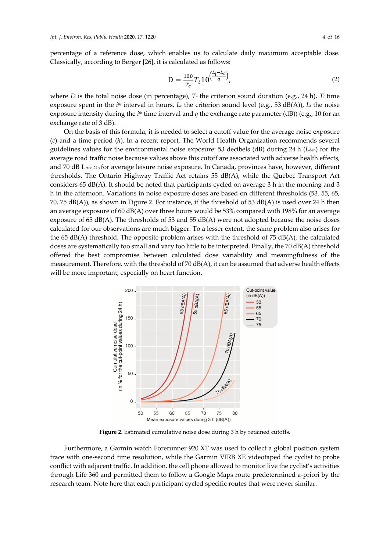percentage of a reference dose, which enables us to calculate daily maximum acceptable dose. Classically, according to Berger [26], it is calculated as follows:

$$
D = \frac{100}{T_c} T_i 10^{\left(\frac{L_i - L_c}{q}\right)},
$$
\n(2)

where *D* is the total noise dose (in percentage),  $T_c$  the criterion sound duration (e.g., 24 h),  $T_i$  time exposure spent in the *ith* interval in hours, *Lc* the criterion sound level (e.g., 53 dB(A)), *Li* the noise exposure intensity during the *ith* time interval and *q* the exchange rate parameter (dB)) (e.g., 10 for an exchange rate of 3 dB).

On the basis of this formula, it is needed to select a cutoff value for the average noise exposure (*c*) and a time period (*h*). In a recent report, The World Health Organization recommends several guidelines values for the environmental noise exposure: 53 decibels (dB) during 24 h (*L*den) for the average road traffic noise because values above this cutoff are associated with adverse health effects, and 70 dB LAeq.24h for average leisure noise exposure. In Canada, provinces have, however, different thresholds. The Ontario Highway Traffic Act retains 55 dB(A), while the Quebec Transport Act considers 65 dB(A). It should be noted that participants cycled on average 3 h in the morning and 3 h in the afternoon. Variations in noise exposure doses are based on different thresholds (53, 55, 65, 70, 75 dB(A)), as shown in Figure 2. For instance, if the threshold of 53 dB(A) is used over 24 h then an average exposure of 60 dB(A) over three hours would be 53% compared with 198% for an average exposure of 65  $dB(A)$ . The thresholds of 53 and 55  $dB(A)$  were not adopted because the noise doses calculated for our observations are much bigger. To a lesser extent, the same problem also arises for the 65 dB(A) threshold. The opposite problem arises with the threshold of 75 dB(A), the calculated doses are systematically too small and vary too little to be interpreted. Finally, the 70 dB(A) threshold offered the best compromise between calculated dose variability and meaningfulness of the measurement. Therefore, with the threshold of 70 dB(A), it can be assumed that adverse health effects will be more important, especially on heart function.



**Figure 2.** Estimated cumulative noise dose during 3 h by retained cutoffs.

Furthermore, a Garmin watch Forerunner 920 XT was used to collect a global position system trace with one‐second time resolution, while the Garmin VIRB XE videotaped the cyclist to probe conflict with adjacent traffic. In addition, the cell phone allowed to monitor live the cyclist's activities through Life 360 and permitted them to follow a Google Maps route predetermined a‐priori by the research team. Note here that each participant cycled specific routes that were never similar.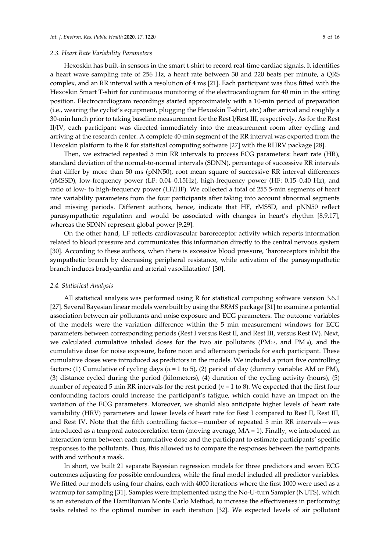#### *2.3. Heart Rate Variability Parameters*

Hexoskin has built-in sensors in the smart t-shirt to record real-time cardiac signals. It identifies a heart wave sampling rate of 256 Hz, a heart rate between 30 and 220 beats per minute, a QRS complex, and an RR interval with a resolution of 4 ms [21]. Each participant was thus fitted with the Hexoskin Smart T-shirt for continuous monitoring of the electrocardiogram for 40 min in the sitting position. Electrocardiogram recordings started approximately with a 10‐min period of preparation (i.e., wearing the cyclist's equipment, plugging the Hexoskin T‐shirt, etc.) after arrival and roughly a 30‐min lunch prior to taking baseline measurement for the Rest I/Rest III, respectively. As for the Rest II/IV, each participant was directed immediately into the measurement room after cycling and arriving at the research center. A complete 40‐min segment of the RR interval was exported from the Hexoskin platform to the R for statistical computing software [27] with the RHRV package [28].

Then, we extracted repeated 5 min RR intervals to process ECG parameters: heart rate (HR), standard deviation of the normal-to-normal intervals (SDNN), percentage of successive RR intervals that differ by more than 50 ms (pNN50), root mean square of successive RR interval differences (rMSSD), low‐frequency power (LF: 0.04–0.15Hz), high‐frequency power (HF: 0.15–0.40 Hz), and ratio of low- to high-frequency power (LF/HF). We collected a total of 255 5-min segments of heart rate variability parameters from the four participants after taking into account abnormal segments and missing periods. Different authors, hence, indicate that HF, rMSSD, and pNN50 reflect parasympathetic regulation and would be associated with changes in heart's rhythm [8,9,17], whereas the SDNN represent global power [9,29].

On the other hand, LF reflects cardiovascular baroreceptor activity which reports information related to blood pressure and communicates this information directly to the central nervous system [30]. According to these authors, when there is excessive blood pressure, 'baroreceptors inhibit the sympathetic branch by decreasing peripheral resistance, while activation of the parasympathetic branch induces bradycardia and arterial vasodilatation' [30].

#### *2.4. Statistical Analysis*

All statistical analysis was performed using R for statistical computing software version 3.6.1 [27]. Several Bayesian linear models were built by using the *BRMS* package [31] to examine a potential association between air pollutants and noise exposure and ECG parameters. The outcome variables of the models were the variation difference within the 5 min measurement windows for ECG parameters between corresponding periods (Rest I versus Rest II, and Rest III, versus Rest IV). Next, we calculated cumulative inhaled doses for the two air pollutants (PM2.5, and PM10), and the cumulative dose for noise exposure, before noon and afternoon periods for each participant. These cumulative doses were introduced as predictors in the models. We included a priori five controlling factors: (1) Cumulative of cycling days (*n* = 1 to 5), (2) period of day (dummy variable: AM or PM), (3) distance cycled during the period (kilometers), (4) duration of the cycling activity (hours), (5) number of repeated 5 min RR intervals for the rest period ( $n = 1$  to 8). We expected that the first four confounding factors could increase the participant's fatigue, which could have an impact on the variation of the ECG parameters. Moreover, we should also anticipate higher levels of heart rate variability (HRV) parameters and lower levels of heart rate for Rest I compared to Rest II, Rest III, and Rest IV. Note that the fifth controlling factor—number of repeated 5 min RR intervals—was introduced as a temporal autocorrelation term (moving average, MA = 1). Finally, we introduced an interaction term between each cumulative dose and the participant to estimate participants' specific responses to the pollutants. Thus, this allowed us to compare the responses between the participants with and without a mask.

In short, we built 21 separate Bayesian regression models for three predictors and seven ECG outcomes adjusting for possible confounders, while the final model included all predictor variables. We fitted our models using four chains, each with 4000 iterations where the first 1000 were used as a warmup for sampling [31]. Samples were implemented using the No-U-turn Sampler (NUTS), which is an extension of the Hamiltonian Monte Carlo Method, to increase the effectiveness in performing tasks related to the optimal number in each iteration [32]. We expected levels of air pollutant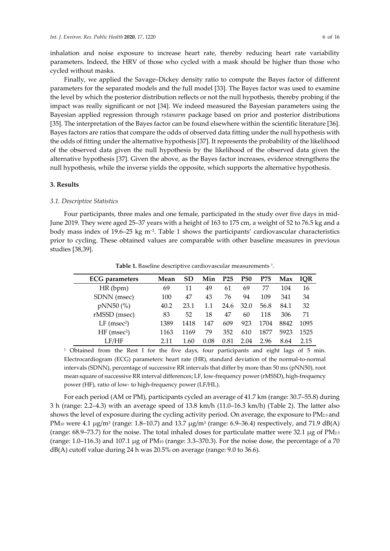inhalation and noise exposure to increase heart rate, thereby reducing heart rate variability parameters. Indeed, the HRV of those who cycled with a mask should be higher than those who cycled without masks.

Finally, we applied the Savage–Dickey density ratio to compute the Bayes factor of different parameters for the separated models and the full model [33]. The Bayes factor was used to examine the level by which the posterior distribution reflects or not the null hypothesis, thereby probing if the impact was really significant or not [34]. We indeed measured the Bayesian parameters using the Bayesian applied regression through *rstanarm* package based on prior and posterior distributions [35]. The interpretation of the Bayes factor can be found elsewhere within the scientific literature [36]. Bayes factors are ratios that compare the odds of observed data fitting under the null hypothesis with the odds of fitting under the alternative hypothesis [37]. It represents the probability of the likelihood of the observed data given the null hypothesis by the likelihood of the observed data given the alternative hypothesis [37]. Given the above, as the Bayes factor increases, evidence strengthens the null hypothesis, while the inverse yields the opposite, which supports the alternative hypothesis.

# **3. Results**

#### *3.1. Descriptive Statistics*

Four participants, three males and one female, participated in the study over five days in mid-June 2019. They were aged 25–37 years with a height of 163 to 175 cm, a weight of 52 to 76.5 kg and a body mass index of 19.6–25 kg m−2. Table 1 shows the participants' cardiovascular characteristics prior to cycling. These obtained values are comparable with other baseline measures in previous studies [38,39].

**Table 1.** Baseline descriptive cardiovascular measurements 1.

| <b>ECG</b> parameters     | Mean | SD   | Min  | <b>P25</b> | <b>P50</b> | P75  | Max  | <b>IOR</b> |
|---------------------------|------|------|------|------------|------------|------|------|------------|
| HR(bpm)                   | 69   | 11   | 49   | 61         | 69         | 77   | 104  | 16         |
| SDNN (msec)               | 100  | 47   | 43   | 76         | 94         | 109  | 341  | 34         |
| pNN50 (%)                 | 40.2 | 23.1 | 1.1  | 24.6       | 32.0       | 56.8 | 84.1 | 32         |
| rMSSD (msec)              | 83   | 52   | 18   | 47         | 60         | 118  | 306  | 71         |
| $LF$ (msec <sup>2</sup> ) | 1389 | 1418 | 147  | 609        | 923        | 1704 | 8842 | 1095       |
| $HF$ (msec <sup>2</sup> ) | 1163 | 1169 | 79   | 352        | 610        | 1877 | 5923 | 1525       |
| LF/HF                     | 2 11 | 1.60 | 0.08 | 0.81       | 2.04       | 2.96 | 8.64 | 2 15       |

<sup>1</sup> Obtained from the Rest I for the five days, four participants and eight lags of 5 min. Electrocardiogram (ECG) parameters: heart rate (HR), standard deviation of the normal‐to‐normal intervals (SDNN), percentage of successive RR intervals that differ by more than 50 ms (pNN50), root mean square of successive RR interval differences; LF, low-frequency power (rMSSD), high-frequency power (HF), ratio of low‐ to high‐frequency power (LF/HL).

For each period (AM or PM), participants cycled an average of 41.7 km (range: 30.7–55.8) during 3 h (range: 2.2–4.3) with an average speed of 13.8 km/h (11.0–16.3 km/h) (Table 2). The latter also shows the level of exposure during the cycling activity period. On average, the exposure to PM2.5 and PM<sub>10</sub> were 4.1 μg/m<sup>3</sup> (range: 1.8–10.7) and 13.7 μg/m<sup>3</sup> (range: 6.9–36.4) respectively, and 71.9 dB(A) (range: 68.9–73.7) for the noise. The total inhaled doses for particulate matter were 32.1 μg of PM2.5 (range:  $1.0-116.3$ ) and  $107.1 \mu$ g of PM<sub>10</sub> (range:  $3.3-370.3$ ). For the noise dose, the percentage of a 70 dB(A) cutoff value during 24 h was 20.5% on average (range: 9.0 to 36.6).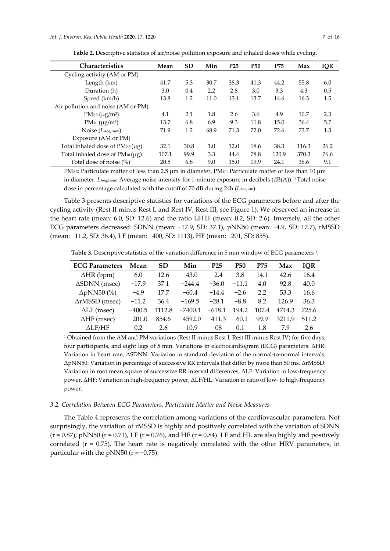| <b>Characteristics</b>                      | Mean  | <b>SD</b> | Min  | P <sub>25</sub> | <b>P50</b> | P75   | Max   | <b>IQR</b> |
|---------------------------------------------|-------|-----------|------|-----------------|------------|-------|-------|------------|
| Cycling activity (AM or PM)                 |       |           |      |                 |            |       |       |            |
| Length (km)                                 | 41.7  | 5.3       | 30.7 | 38.3            | 41.3       | 44.2  | 55.8  | 6.0        |
| Duration (h)                                | 3.0   | 0.4       | 2.2  | 2.8             | 3.0        | 3.3   | 4.3   | 0.5        |
| Speed (km/h)                                | 13.8  | 1.2       | 11.0 | 13.1            | 13.7       | 14.6  | 16.3  | 1.5        |
| Air pollution and noise (AM or PM)          |       |           |      |                 |            |       |       |            |
| $PM_{2.5} (\mu g/m^3)$                      | 4.1   | 2.1       | 1.8  | 2.6             | 3.6        | 4.9   | 10.7  | 2.3        |
| PM <sub>10</sub> ( $\mu$ g/m <sup>3</sup> ) | 13.7  | 6.8       | 6.9  | 9.3             | 11.8       | 15.0  | 36.4  | 5.7        |
| Noise $(L_{\text{Aeq,1min}})$               | 71.9  | 1.2       | 68.9 | 71.3            | 72.0       | 72.6  | 73.7  | 1.3        |
| Exposure (AM or PM)                         |       |           |      |                 |            |       |       |            |
| Total inhaled dose of $PM_{2.5}(\mu g)$     | 32.1  | 30.8      | 1.0  | 12.0            | 18.6       | 38.3  | 116.3 | 26.2       |
| Total inhaled dose of $PM_{10}(\mu g)$      | 107.1 | 99.9      | 3.3  | 44.4            | 78.8       | 120.9 | 370.3 | 76.6       |
| Total dose of noise $(\%)^1$                | 20.5  | 6.8       | 9.0  | 15.0            | 19.9       | 24.1  | 36.6  | 9.1        |

**Table 2.** Descriptive statistics of air/noise pollution exposure and inhaled doses while cycling.

PM<sub>2.5</sub>: Particulate matter of less than 2.5 μm in diameter, PM<sub>10</sub>: Particulate matter of less than 10 μm in diameter. *LAeq,1min:* Average noise intensity for 1-minute exposure in decibels (dB(A)). <sup>1</sup> Total noise dose in percentage calculated with the cutoff of 70 dB during 24h (*L*Aeq,24h).

Table 3 presents descriptive statistics for variations of the ECG parameters before and after the cycling activity (Rest II minus Rest I, and Rest IV, Rest III, see Figure 1). We observed an increase in the heart rate (mean: 6.0, SD: 12.6) and the ratio LFHF (mean: 0.2, SD: 2.6). Inversely, all the other ECG parameters decreased: SDNN (mean: −17.9, SD: 37.1), pNN50 (mean: −4.9, SD: 17.7), rMSSD (mean: −11.2, SD: 36.4), LF (mean: −400, SD: 1113), HF (mean: −201, SD: 855).

**Table 3.** Descriptive statistics of the variation difference in 5 min window of ECG parameters 1.

| <b>ECG Parameters</b>    | Mean     | <b>SD</b> | Min       | P25      | <b>P50</b> | P75   | Max    | <b>IQR</b> |
|--------------------------|----------|-----------|-----------|----------|------------|-------|--------|------------|
| $\Delta HR$ (bpm)        | 6.0      | 12.6      | $-43.0$   | $-2.4$   | 3.8        | 14.1  | 42.6   | 16.4       |
| $\Delta$ SDNN (msec)     | $-17.9$  | 37.1      | $-244.4$  | $-36.0$  | $-11.1$    | 4.0   | 92.8   | 40.0       |
| $\Delta pNN50$ (%)       | $-4.9$   | 17.7      | $-60.4$   | $-14.4$  | $-2.6$     | 2.2   | 53.3   | 16.6       |
| $\triangle$ rMSSD (msec) | $-11.2$  | 36.4      | $-169.5$  | $-28.1$  | $-8.8$     | 8.2   | 126.9  | 36.3       |
| $\Delta LF$ (msec)       | $-400.5$ | 1112.8    | $-7400.1$ | $-618.1$ | 194.2      | 107.4 | 4714.3 | 725.6      |
| $\Delta H$ F (msec)      | $-201.0$ | 854.6     | $-4592.0$ | $-411.3$ | $-60.1$    | 99.9  | 3211.9 | 511.2      |
| $\Delta$ LF/HF           | 0.2      | 2.6       | $-10.9$   | $-08$    | 0.1        | 1.8   | 79     | 2.6        |

<sup>1</sup> Obtained from the AM and PM variations (Rest II minus Rest I, Rest III minus Rest IV) for five days, four participants, and eight lags of 5 min. Variations in electrocardiogram (ECG) parameters. ΔHR: Variation in heart rate, ΔSDNN: Variation in standard deviation of the normal‐to‐normal intervals, ΔpNN50: Variation in percentage of successive RR intervals that differ by more than 50 ms, ΔrMSSD: Variation in root mean square of successive RR interval differences, ΔLF: Variation in low‐frequency power, ΔHF: Variation in high‐frequency power, ΔLF/HL: Variation in ratio of low‐ to high‐frequency power.

## *3.2. Correlation Between ECG Parameters, Particulate Matter and Noise Measures*

The Table 4 represents the correlation among variations of the cardiovascular parameters. Not surprisingly, the variation of rMSSD is highly and positively correlated with the variation of SDNN  $(r = 0.87)$ , pNN50 (r = 0.71), LF (r = 0.76), and HF (r = 0.84). LF and HL are also highly and positively correlated  $(r = 0.75)$ . The heart rate is negatively correlated with the other HRV parameters, in particular with the pNN50 ( $r = -0.75$ ).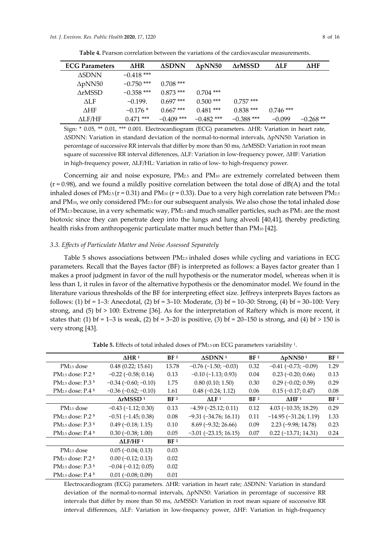| <b>ECG Parameters</b> | <b>AHR</b>   | <b>ASDNN</b> | $\Delta$ pNN50 | <b>ArMSSD</b> | ΛLF | <b>AHF</b> |
|-----------------------|--------------|--------------|----------------|---------------|-----|------------|
| <b>ASDNN</b>          | $-0.418$ *** |              |                |               |     |            |
| $\Delta pNN50$        | $-0.750$ *** | $0.708$ ***  |                |               |     |            |
| ArMSSD                | $-0.358$ *** | $0.873$ ***  | $0.704$ ***    |               |     |            |
| ALF                   | $-0.199.$    | $0.697$ ***  | $0.500$ ***    | $0.757$ ***   |     |            |

**Table 4.** Pearson correlation between the variations of the cardiovascular measurements.

Sign: \* 0.05, \*\* 0.01, \*\*\* 0.001. Electrocardiogram (ECG) parameters. ΔHR: Variation in heart rate, ΔSDNN: Variation in standard deviation of the normal‐to‐normal intervals, ΔpNN50: Variation in percentage of successive RR intervals that differ by more than 50 ms, ΔrMSSD: Variation in root mean square of successive RR interval differences, ΔLF: Variation in low‐frequency power, ΔHF: Variation in high-frequency power, ΔLF/HL: Variation in ratio of low- to high-frequency power.

ΔHF −0.176 \* 0.667 \*\*\* 0.481 \*\*\* 0.838 \*\*\* 0.746 \*\*\* ΔLF/HF 0.471 \*\*\* −0.409 \*\*\* −0.482 \*\*\* −0.388 \*\*\* −0.099 −0.268 \*\*

Concerning air and noise exposure, PM<sub>2.5</sub> and PM<sub>10</sub> are extremely correlated between them  $(r = 0.98)$ , and we found a mildly positive correlation between the total dose of  $dB(A)$  and the total inhaled doses of  $PM_{2.5}$  (r = 0.31) and  $PM_{10}$  (r = 0.33). Due to a very high correlation rate between  $PM_{2.5}$ and PM10, we only considered PM2.5 for our subsequent analysis. We also chose the total inhaled dose of PM2.5because, in a very schematic way, PM2.5 and much smaller particles, such as PM1, are the most biotoxic since they can penetrate deep into the lungs and lung alveoli [40,41], thereby predicting health risks from anthropogenic particulate matter much better than PM10 [42].

#### *3.3. Effects of Particulate Matter and Noise Assessed Separately*

Table 5 shows associations between PM2.5 inhaled doses while cycling and variations in ECG parameters. Recall that the Bayes factor (BF) is interpreted as follows: a Bayes factor greater than 1 makes a proof judgment in favor of the null hypothesis or the numerator model, whereas when it is less than 1, it rules in favor of the alternative hypothesis or the denominator model. We found in the literature various thresholds of the BF for interpreting effect size. Jeffreys interprets Bayes factors as follows: (1) bf = 1–3: Anecdotal, (2) bf = 3–10: Moderate, (3) bf = 10–30: Strong, (4) bf = 30–100: Very strong, and (5) bf > 100: Extreme [36]. As for the interpretation of Raftery which is more recent, it states that: (1) bf = 1–3 is weak, (2) bf = 3–20 is positive, (3) bf = 20–150 is strong, and (4) bf > 150 is very strong [43].

|                                   | $\Delta$ HR <sup>1</sup>      | BF <sup>2</sup> | $\Delta$ SDNN <sup>1</sup>    | BF <sup>2</sup> | $\Delta pNN50^1$          | BF <sup>2</sup> |
|-----------------------------------|-------------------------------|-----------------|-------------------------------|-----------------|---------------------------|-----------------|
| PM <sub>2.5</sub> dose            | 0.48(0.22; 15.61)             | 13.78           | $-0.76$ ( $-1.50$ ; $-0.03$ ) | 0.32            | $-0.41$ $(-0.73; -0.09)$  | 1.29            |
| $PM_{2.5}$ dose: P.2 $3$          | $-0.22$ ( $-0.58$ ; 0.14)     | 0.13            | $-0.10$ $(-1.13; 0.93)$       | 0.04            | $0.23$ (-0.20; 0.66)      | 0.13            |
| $PM_{2.5}$ dose: P.3 <sup>3</sup> | $-0.34$ ( $-0.60$ ; $-0.10$ ) | 1.75            | 0.80(0.10; 1.50)              | 0.30            | $0.29$ (-0.02; 0.59)      | 0.29            |
| $PM2.5$ dose: P.4 $3$             | $-0.36$ $(-0.62; -0.10)$      | 1.61            | $0.48(-0.24; 1.12)$           | 0.06            | $0.15(-0.17; 0.47)$       | 0.08            |
|                                   | $\Delta$ rMSSD <sup>1</sup>   | BF <sup>2</sup> | $\Delta$ LF <sup>1</sup>      | BF <sup>2</sup> | $\Delta H F$ <sup>1</sup> | BF <sup>2</sup> |
| PM <sub>2.5</sub> dose            | $-0.43(-1.12; 0.30)$          | 0.13            | $-4.59$ $(-25.12; 0.11)$      | 0.12            | $4.03(-10.35; 18.29)$     | 0.29            |
| $PM_{2.5}$ dose: P.2 $3$          | $-0.51(-1.45; 0.38)$          | 0.08            | $-9.31 (-34.76; 16.11)$       | 0.11            | $-14.95(-31.24; 1.19)$    | 1.33            |
| $PM_{2.5}$ dose: P.3 $3$          | $0.49$ (-0.18; 1.15)          | 0.10            | $8.69(-9.32; 26.66)$          | 0.09            | $2.23(-9.98; 14.78)$      | 0.23            |
| $PM2.5$ dose: P.4 $3$             | $0.30 (-0.38; 1.00)$          | 0.05            | $-3.01$ $(-23.15; 16.15)$     | 0.07            | $0.22$ (-13.71; 14.31)    | 0.24            |
|                                   | $\Delta$ LF/HF <sup>1</sup>   | BF <sup>2</sup> |                               |                 |                           |                 |
| PM <sub>2.5</sub> dose            | $0.05 (-0.04; 0.13)$          | 0.03            |                               |                 |                           |                 |
| $PM_{2.5}$ dose: P.2 $3$          | $0.00 (-0.12; 0.13)$          | 0.02            |                               |                 |                           |                 |
| $PM_{2.5}$ dose: P.3 $3$          | $-0.04$ $(-0.12; 0.05)$       | 0.02            |                               |                 |                           |                 |
| $PM2.5$ dose: P.4 $3$             | $0.01$ $(-0.08; 0.09)$        | 0.01            |                               |                 |                           |                 |

**Table 5.** Effects of total inhaled doses of PM2.5 on ECG parameters variability 1.

Electrocardiogram (ECG) parameters. ΔHR: variation in heart rate; ΔSDNN: Variation in standard deviation of the normal‐to‐normal intervals, ΔpNN50: Variation in percentage of successive RR intervals that differ by more than 50 ms, ΔrMSSD: Variation in root mean square of successive RR interval differences, ΔLF: Variation in low-frequency power, ΔHF: Variation in high-frequency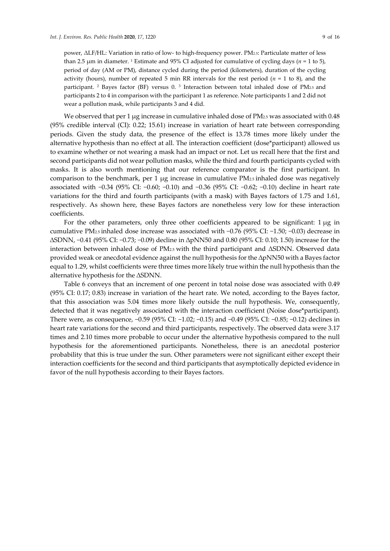power, ΔLF/HL: Variation in ratio of low‐ to high‐frequency power. PM2.5: Particulate matter of less than 2.5  $\mu$ m in diameter. <sup>1</sup> Estimate and 95% CI adjusted for cumulative of cycling days ( $n = 1$  to 5), period of day (AM or PM), distance cycled during the period (kilometers), duration of the cycling activity (hours), number of repeated 5 min RR intervals for the rest period (*n* = 1 to 8), and the participant. <sup>2</sup> Bayes factor (BF) versus 0. <sup>3</sup> Interaction between total inhaled dose of PM2.5 and participants 2 to 4 in comparison with the participant 1 as reference. Note participants 1 and 2 did not wear a pollution mask, while participants 3 and 4 did.

We observed that per 1  $\mu$ g increase in cumulative inhaled dose of PM<sub>2.5</sub> was associated with 0.48 (95% credible interval (CI): 0.22; 15.61) increase in variation of heart rate between corresponding periods. Given the study data, the presence of the effect is 13.78 times more likely under the alternative hypothesis than no effect at all. The interaction coefficient (dose\*participant) allowed us to examine whether or not wearing a mask had an impact or not. Let us recall here that the first and second participants did not wear pollution masks, while the third and fourth participants cycled with masks. It is also worth mentioning that our reference comparator is the first participant. In comparison to the benchmark, per 1 μg increase in cumulative PM2.5 inhaled dose was negatively associated with −0.34 (95% CI: −0.60; −0.10) and −0.36 (95% CI: −0.62; −0.10) decline in heart rate variations for the third and fourth participants (with a mask) with Bayes factors of 1.75 and 1.61, respectively. As shown here, these Bayes factors are nonetheless very low for these interaction coefficients.

For the other parameters, only three other coefficients appeared to be significant: 1 μg in cumulative PM2.5 inhaled dose increase was associated with −0.76 (95% CI: −1.50; −0.03) decrease in ∆SDNN, −0.41 (95% CI: −0.73; −0.09) decline in ∆pNN50 and 0.80 (95% CI: 0.10; 1.50) increase for the interaction between inhaled dose of PM2.5 with the third participant and ΔSDNN. Observed data provided weak or anecdotal evidence against the null hypothesis for the ∆pNN50 with a Bayes factor equal to 1.29, whilst coefficients were three times more likely true within the null hypothesis than the alternative hypothesis for the ∆SDNN.

Table 6 conveys that an increment of one percent in total noise dose was associated with 0.49 (95% CI: 0.17; 0.83) increase in variation of the heart rate. We noted, according to the Bayes factor, that this association was 5.04 times more likely outside the null hypothesis. We, consequently, detected that it was negatively associated with the interaction coefficient (Noise dose\*participant). There were, as consequence, −0.59 (95% CI: −1.02; −0.15) and −0.49 (95% CI: −0.85; −0.12) declines in heart rate variations for the second and third participants, respectively. The observed data were 3.17 times and 2.10 times more probable to occur under the alternative hypothesis compared to the null hypothesis for the aforementioned participants. Nonetheless, there is an anecdotal posterior probability that this is true under the sun. Other parameters were not significant either except their interaction coefficients for the second and third participants that asymptotically depicted evidence in favor of the null hypothesis according to their Bayes factors.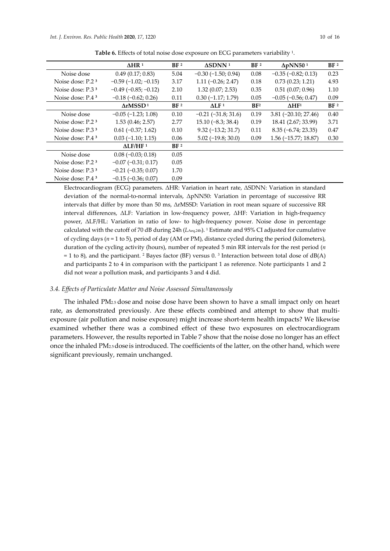|                              | AHR <sup>1</sup>              | BF <sup>2</sup> | $\triangle SDNN$ <sup>1</sup> | BF <sup>2</sup> | $\Delta pNN50^1$          | BF <sup>2</sup> |
|------------------------------|-------------------------------|-----------------|-------------------------------|-----------------|---------------------------|-----------------|
| Noise dose                   | 0.49(0.17; 0.83)              | 5.04            | $-0.30$ ( $-1.50$ ; 0.94)     | 0.08            | $-0.35$ $(-0.82; 0.13)$   | 0.23            |
| Noise dose: P.2 <sup>3</sup> | $-0.59$ ( $-1.02$ ; $-0.15$ ) | 3.17            | $1.11 (-0.26; 2.47)$          | 0.18            | 0.73(0.23; 1.21)          | 4.93            |
| Noise dose: $P.33$           | $-0.49$ ( $-0.85$ ; $-0.12$ ) | 2.10            | 1.32(0.07; 2.53)              | 0.35            | 0.51(0.07; 0.96)          | 1.10            |
| Noise dose: $P.43$           | $-0.18$ ( $-0.62$ ; 0.26)     | 0.11            | $0.30(-1.17; 1.79)$           | 0.05            | $-0.05$ ( $-0.56$ ; 0.47) | 0.09            |
|                              | ArMSSD <sup>1</sup>           | BF <sup>2</sup> | $\Lambda$ LF <sup>1</sup>     | BF <sup>2</sup> | $\Delta H F^1$            | BF <sup>2</sup> |
| Noise dose                   | $-0.05$ $(-1.23; 1.08)$       | 0.10            | $-0.21$ $(-31.8; 31.6)$       | 0.19            | $3.81 (-20.10; 27.46)$    | 0.40            |
| Noise dose: $P.23$           | 1.53(0.46; 2.57)              | 2.77            | $15.10(-8.3; 38.4)$           | 0.19            | 18.41 (2.67; 33.99)       | 3.71            |
| Noise dose: P.3 <sup>3</sup> | $0.61 (-0.37; 1.62)$          | 0.10            | $9.32(-13.2; 31.7)$           | 0.11            | $8.35 (-6.74; 23.35)$     | 0.47            |
| Noise dose: $P.43$           | $0.03(-1.10; 1.15)$           | 0.06            | $5.02$ (-19.8; 30.0)          | 0.09            | $1.56$ (-15.77; 18.87)    | 0.30            |
|                              | ALF/HF <sup>1</sup>           | BF <sup>2</sup> |                               |                 |                           |                 |
| Noise dose                   | $0.08 (-0.03; 0.18)$          | 0.05            |                               |                 |                           |                 |
| Noise dose: P.2 <sup>3</sup> | $-0.07$ $(-0.31; 0.17)$       | 0.05            |                               |                 |                           |                 |
| Noise dose: $P.33$           | $-0.21$ $(-0.35; 0.07)$       | 1.70            |                               |                 |                           |                 |
| Noise dose: P.43             | $-0.15$ $(-0.36; 0.07)$       | 0.09            |                               |                 |                           |                 |

**Table 6.** Effects of total noise dose exposure on ECG parameters variability 1.

Electrocardiogram (ECG) parameters. ΔHR: Variation in heart rate, ΔSDNN: Variation in standard deviation of the normal‐to‐normal intervals, ΔpNN50: Variation in percentage of successive RR intervals that differ by more than 50 ms, ΔrMSSD: Variation in root mean square of successive RR interval differences, ΔLF: Variation in low-frequency power, ΔHF: Variation in high-frequency power, ΔLF/HL: Variation in ratio of low‐ to high‐frequency power. Noise dose in percentage calculated with the cutoff of 70 dB during 24h (*L*Aeq,24h). <sup>1</sup> Estimate and 95% CI adjusted for cumulative of cycling days (*n* = 1 to 5), period of day (AM or PM), distance cycled during the period (kilometers), duration of the cycling activity (hours), number of repeated 5 min RR intervals for the rest period (*n*  $= 1$  to 8), and the participant. <sup>2</sup> Bayes factor (BF) versus 0. <sup>3</sup> Interaction between total dose of dB(A) and participants 2 to 4 in comparison with the participant 1 as reference. Note participants 1 and 2 did not wear a pollution mask, and participants 3 and 4 did.

#### *3.4. Effects of Particulate Matter and Noise Assessed Simultaneously*

The inhaled PM2.5 dose and noise dose have been shown to have a small impact only on heart rate, as demonstrated previously. Are these effects combined and attempt to show that multiexposure (air pollution and noise exposure) might increase short-term health impacts? We likewise examined whether there was a combined effect of these two exposures on electrocardiogram parameters. However, the results reported in Table 7 show that the noise dose no longer has an effect once the inhaled PM2.5dose is introduced. The coefficients of the latter, on the other hand, which were significant previously, remain unchanged.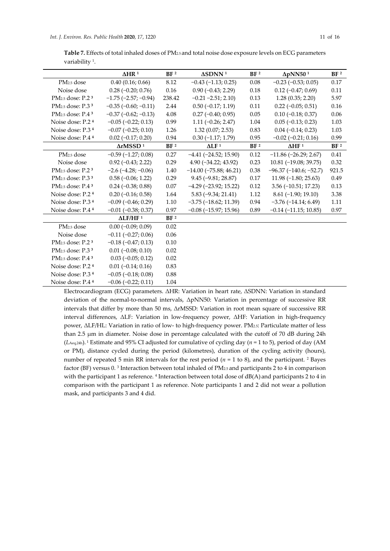| Table 7. Effects of total inhaled doses of PM <sub>25</sub> and total noise dose exposure levels on ECG parameters |
|--------------------------------------------------------------------------------------------------------------------|
| variability <sup>1</sup> .                                                                                         |

|                                          | $\Delta H R$ <sup>1</sup>   | BF <sup>2</sup> | $\Delta \text{SDNN}$ $^1$    | BF <sup>2</sup> | $\Delta pNN50^1$            | BF <sup>2</sup> |
|------------------------------------------|-----------------------------|-----------------|------------------------------|-----------------|-----------------------------|-----------------|
| PM <sub>2.5</sub> dose                   | 0.40(0.16; 0.66)            | 8.12            | $-0.43$ $(-1.13; 0.25)$      | $0.08\,$        | $-0.23$ $(-0.53; 0.05)$     | 0.17            |
| Noise dose                               | $0.28 (-0.20; 0.76)$        | 0.16            | $0.90 (-0.43; 2.29)$         | 0.18            | $0.12 (-0.47; 0.69)$        | 0.11            |
| PM <sub>2.5</sub> dose: P.2 <sup>3</sup> | $-1.75$ $(-2.57; -0.94)$    | 238.42          | $-0.21 - 2.51; 2.10$         | 0.13            | 1.28(0.35; 2.20)            | 5.97            |
| PM <sub>2.5</sub> dose: P.3 <sup>3</sup> | $-0.35$ $(-0.60; -0.11)$    | 2.44            | $0.50$ ( $-0.17; 1.19$ )     | 0.11            | $0.22$ (-0.05; 0.51)        | 0.16            |
| PM <sub>2.5</sub> dose: P.4 <sup>3</sup> | $-0.37$ $(-0.62; -0.13)$    | 4.08            | $0.27$ (-0.40; 0.95)         | 0.05            | $0.10 (-0.18; 0.37)$        | 0.06            |
| Noise dose: P.2 <sup>4</sup>             | $-0.05$ $(-0.22; 0.13)$     | 0.99            | $1.11 (-0.26; 2.47)$         | 1.04            | $0.05 (-0.13; 0.23)$        | 1.03            |
| Noise dose: P.3 <sup>4</sup>             | $-0.07$ $(-0.25; 0.10)$     | 1.26            | 1.32(0.07; 2.53)             | 0.83            | $0.04 (-0.14; 0.23)$        | 1.03            |
| Noise dose: P.4 4                        | $0.02$ (-0.17; 0.20)        | 0.94            | $0.30$ (-1.17; 1.79)         | 0.95            | $-0.02$ $(-0.21; 0.16)$     | 0.99            |
|                                          | $\Delta$ rMSSD <sup>1</sup> | BF <sup>2</sup> | $\Delta$ LF <sup>1</sup>     | BF <sup>2</sup> | $\Delta H F$ <sup>1</sup>   | BF <sup>2</sup> |
| PM <sub>2.5</sub> dose                   | $-0.59$ $(-1.27; 0.08)$     | 0.27            | $-4.41$ $(-24.52; 15.90)$    | 0.12            | $-11.86$ ( $-26.29$ ; 2.67) | 0.41            |
| Noise dose                               | $0.92(-0.43; 2.22)$         | 0.29            | $4.90(-34.22; 43.92)$        | 0.23            | $10.81(-19.08; 39.75)$      | 0.32            |
| PM <sub>2.5</sub> dose: P.2 <sup>3</sup> | $-2.6$ $(-4.28; -0.06)$     | 1.40            | $-14.00$ ( $-75.88$ ; 46.21) | $0.38\,$        | $-96.37(-140.6; -52.7)$     | 921.5           |
| PM <sub>2.5</sub> dose: P.3 <sup>3</sup> | $0.58(-0.06; 1.22)$         | 0.29            | $9.45(-9.81; 28.87)$         | $0.17\,$        | $11.98(-1.80; 25.63)$       | 0.49            |
| PM <sub>2.5</sub> dose: $P.43$           | $0.24 (-0.38; 0.88)$        | 0.07            | $-4.29$ ( $-23.92$ ; 15.22)  | 0.12            | $3.56$ ( $-10.51$ ; 17.23)  | 0.13            |
| Noise dose: P.2 <sup>4</sup>             | $0.20$ (-0.16; 0.58)        | 1.64            | $5.83(-9.34; 21.41)$         | 1.12            | $8.61(-1.90; 19.10)$        | 3.38            |
| Noise dose: P.3 <sup>4</sup>             | $-0.09$ $(-0.46; 0.29)$     | $1.10\,$        | $-3.75$ $(-18.62; 11.39)$    | 0.94            | $-3.76$ $(-14.14; 6.49)$    | $1.11\,$        |
| Noise dose: P.4 <sup>4</sup>             | $-0.01$ $(-0.38; 0.37)$     | 0.97            | $-0.08$ $(-15.97; 15.96)$    | 0.89            | $-0.14$ $(-11.15; 10.85)$   | 0.97            |
|                                          | $\Delta$ LF/HF <sup>1</sup> | BF <sup>2</sup> |                              |                 |                             |                 |
| PM <sub>2.5</sub> dose                   | $0.00 (-0.09; 0.09)$        | 0.02            |                              |                 |                             |                 |
| Noise dose                               | $-0.11$ $(-0.27; 0.06)$     | 0.06            |                              |                 |                             |                 |
| PM <sub>2.5</sub> dose: P.2 <sup>3</sup> | $-0.18$ $(-0.47; 0.13)$     | 0.10            |                              |                 |                             |                 |
| PM <sub>2.5</sub> dose: P.3 <sup>3</sup> | $0.01$ ( $-0.08$ ; 0.10)    | 0.02            |                              |                 |                             |                 |
| PM <sub>2.5</sub> dose: $P.43$           | $0.03$ (-0.05; 0.12)        | 0.02            |                              |                 |                             |                 |
| Noise dose: P.2 <sup>4</sup>             | $0.01 (-0.14; 0.16)$        | 0.83            |                              |                 |                             |                 |
| Noise dose: P.3 <sup>4</sup>             | $-0.05$ $(-0.18; 0.08)$     | 0.88            |                              |                 |                             |                 |
| Noise dose: P.4 <sup>4</sup>             | $-0.06$ $(-0.22; 0.11)$     | 1.04            |                              |                 |                             |                 |

Electrocardiogram (ECG) parameters. ΔHR: Variation in heart rate, ΔSDNN: Variation in standard deviation of the normal-to-normal intervals, ΔpNN50: Variation in percentage of successive RR intervals that differ by more than 50 ms, ΔrMSSD: Variation in root mean square of successive RR interval differences, ΔLF: Variation in low‐frequency power, ΔHF: Variation in high‐frequency power, ΔLF/HL: Variation in ratio of low‐ to high‐frequency power. PM2.5: Particulate matter of less than 2.5 μm in diameter. Noise dose in percentage calculated with the cutoff of 70 dB during 24h (*L*Aeq,24h). <sup>1</sup> Estimate and 95% CI adjusted for cumulative of cycling day (*n* = 1 to 5), period of day (AM or PM), distance cycled during the period (kilometres), duration of the cycling activity (hours), number of repeated 5 min RR intervals for the rest period  $(n = 1 to 8)$ , and the participant. <sup>2</sup> Bayes factor (BF) versus 0. <sup>3</sup> Interaction between total inhaled of PM2.5 and participants 2 to 4 in comparison with the participant 1 as reference.  $4$  Interaction between total dose of  $dB(A)$  and participants 2 to 4 in comparison with the participant 1 as reference. Note participants 1 and 2 did not wear a pollution mask, and participants 3 and 4 did.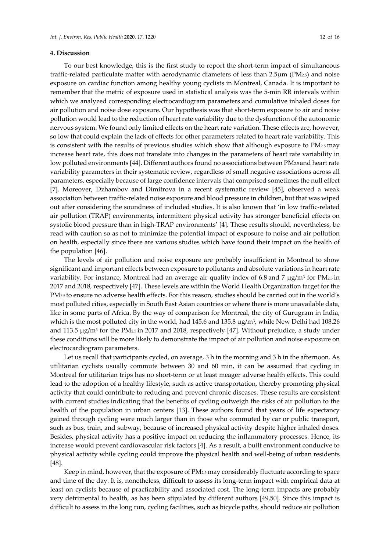## **4. Discussion**

To our best knowledge, this is the first study to report the short-term impact of simultaneous traffic‐related particulate matter with aerodynamic diameters of less than 2.5μm (PM2.5) and noise exposure on cardiac function among healthy young cyclists in Montreal, Canada. It is important to remember that the metric of exposure used in statistical analysis was the 5-min RR intervals within which we analyzed corresponding electrocardiogram parameters and cumulative inhaled doses for air pollution and noise dose exposure. Our hypothesis was that short‐term exposure to air and noise pollution would lead to the reduction of heartrate variability due to the dysfunction of the autonomic nervous system. We found only limited effects on the heart rate variation. These effects are, however, so low that could explain the lack of effects for other parameters related to heart rate variability. This is consistent with the results of previous studies which show that although exposure to PM2.5 may increase heart rate, this does not translate into changes in the parameters of heart rate variability in low polluted environments [44]. Different authors found no associations between PM2.5 and heart rate variability parameters in their systematic review, regardless of small negative associations across all parameters, especially because of large confidence intervals that comprised sometimes the null effect [7]. Moreover, Dzhambov and Dimitrova in a recent systematic review [45], observed a weak association between traffic‐related noise exposure and blood pressure in children, but that was wiped out after considering the soundness of included studies. It is also known that 'in low traffic‐related air pollution (TRAP) environments, intermittent physical activity has stronger beneficial effects on systolic blood pressure than in high‐TRAP environments' [4]. These results should, nevertheless, be read with caution so as not to minimize the potential impact of exposure to noise and air pollution on health, especially since there are various studies which have found their impact on the health of the population [46].

The levels of air pollution and noise exposure are probably insufficient in Montreal to show significant and important effects between exposure to pollutants and absolute variations in heart rate variability. For instance, Montreal had an average air quality index of 6.8 and 7  $\mu$ g/m<sup>3</sup> for PM<sub>2.5</sub> in 2017 and 2018, respectively [47]. These levels are within the World Health Organization target for the PM2.5 to ensure no adverse health effects. For this reason, studies should be carried out in the world's most polluted cities, especially in South East Asian countries or where there is more unavailable data, like in some parts of Africa. By the way of comparison for Montreal, the city of Gurugram in India, which is the most polluted city in the world, had 145.6 and 135.8 μg/m3, while New Delhi had 108.26 and 113.5 μg/m3 for the PM2.5 in 2017 and 2018, respectively [47]. Without prejudice, a study under these conditions will be more likely to demonstrate the impact of air pollution and noise exposure on electrocardiogram parameters.

Let us recall that participants cycled, on average, 3 h in the morning and 3 h in the afternoon. As utilitarian cyclists usually commute between 30 and 60 min, it can be assumed that cycling in Montreal for utilitarian trips has no short-term or at least meager adverse health effects. This could lead to the adoption of a healthy lifestyle, such as active transportation, thereby promoting physical activity that could contribute to reducing and prevent chronic diseases. These results are consistent with current studies indicating that the benefits of cycling outweigh the risks of air pollution to the health of the population in urban centers [13]. These authors found that years of life expectancy gained through cycling were much larger than in those who commuted by car or public transport, such as bus, train, and subway, because of increased physical activity despite higher inhaled doses. Besides, physical activity has a positive impact on reducing the inflammatory processes. Hence, its increase would prevent cardiovascular risk factors [4]. As a result, a built environment conducive to physical activity while cycling could improve the physical health and well‐being of urban residents [48].

Keep in mind, however, that the exposure of PM2.5 may considerably fluctuate according to space and time of the day. It is, nonetheless, difficult to assess its long-term impact with empirical data at least on cyclists because of practicability and associated cost. The long-term impacts are probably very detrimental to health, as has been stipulated by different authors [49,50]. Since this impact is difficult to assess in the long run, cycling facilities, such as bicycle paths, should reduce air pollution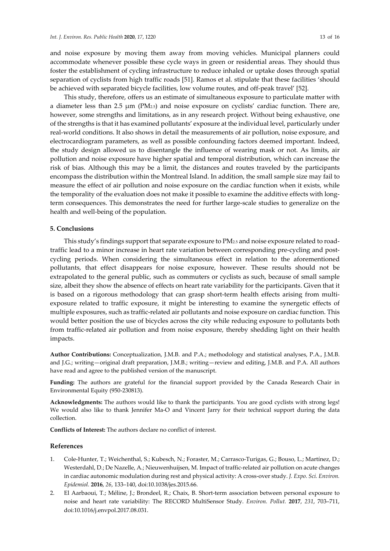and noise exposure by moving them away from moving vehicles. Municipal planners could accommodate whenever possible these cycle ways in green or residential areas. They should thus foster the establishment of cycling infrastructure to reduce inhaled or uptake doses through spatial separation of cyclists from high traffic roads [51]. Ramos et al. stipulate that these facilities 'should be achieved with separated bicycle facilities, low volume routes, and off‐peak travel' [52].

This study, therefore, offers us an estimate of simultaneous exposure to particulate matter with a diameter less than 2.5 μm (PM2.5) and noise exposure on cyclists' cardiac function. There are, however, some strengths and limitations, as in any research project. Without being exhaustive, one of the strengths is that it has examined pollutants' exposure at the individual level, particularly under real‐world conditions. It also shows in detail the measurements of air pollution, noise exposure, and electrocardiogram parameters, as well as possible confounding factors deemed important. Indeed, the study design allowed us to disentangle the influence of wearing mask or not. As limits, air pollution and noise exposure have higher spatial and temporal distribution, which can increase the risk of bias. Although this may be a limit, the distances and routes traveled by the participants encompass the distribution within the Montreal Island. In addition, the small sample size may fail to measure the effect of air pollution and noise exposure on the cardiac function when it exists, while the temporality of the evaluation does not make it possible to examine the additive effects with long‐ term consequences. This demonstrates the need for further large-scale studies to generalize on the health and well‐being of the population.

# **5. Conclusions**

This study's findings support that separate exposure to PM2.5 and noise exposure related to road‐ traffic lead to a minor increase in heart rate variation between corresponding pre-cycling and postcycling periods. When considering the simultaneous effect in relation to the aforementioned pollutants, that effect disappears for noise exposure, however. These results should not be extrapolated to the general public, such as commuters or cyclists as such, because of small sample size, albeit they show the absence of effects on heart rate variability for the participants. Given that it is based on a rigorous methodology that can grasp short-term health effects arising from multiexposure related to traffic exposure, it might be interesting to examine the synergetic effects of multiple exposures, such as traffic‐related air pollutants and noise exposure on cardiac function. This would better position the use of bicycles across the city while reducing exposure to pollutants both from traffic-related air pollution and from noise exposure, thereby shedding light on their health impacts.

**Author Contributions:** Conceptualization, J.M.B. and P.A.; methodology and statistical analyses, P.A., J.M.B. and J.G.; writing—original draft preparation, J.M.B.; writing—review and editing, J.M.B. and P.A. All authors have read and agree to the published version of the manuscript.

**Funding:** The authors are grateful for the financial support provided by the Canada Research Chair in Environmental Equity (950‐230813).

**Acknowledgments:** The authors would like to thank the participants. You are good cyclists with strong legs! We would also like to thank Jennifer Ma-O and Vincent Jarry for their technical support during the data collection.

**Conflicts of Interest:** The authors declare no conflict of interest.

#### **References**

- 1. Cole-Hunter, T.; Weichenthal, S.; Kubesch, N.; Foraster, M.; Carrasco-Turigas, G.; Bouso, L.; Martínez, D.; Westerdahl, D.; De Nazelle, A.; Nieuwenhuijsen, M. Impact of traffic-related air pollution on acute changes in cardiac autonomic modulation during rest and physical activity: A cross‐over study. *J. Expo. Sci. Environ. Epidemiol.* **2016**, *26*, 133–140, doi:10.1038/jes.2015.66.
- 2. El Aarbaoui, T.; Méline, J.; Brondeel, R.; Chaix, B. Short-term association between personal exposure to noise and heart rate variability: The RECORD MultiSensor Study. *Environ. Pollut.* **2017**, *231*, 703–711, doi:10.1016/j.envpol.2017.08.031.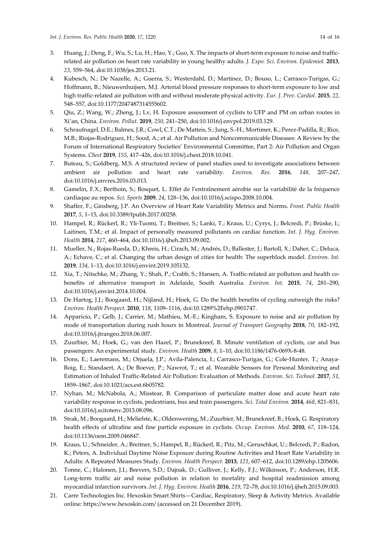- 3. Huang, J.; Deng, F.; Wu, S.; Lu, H.; Hao, Y.; Guo, X. The impacts of short-term exposure to noise and trafficrelated air pollution on heart rate variability in young healthy adults. *J. Expo. Sci. Environ. Epidemiol.* **2013**, *23*, 559–564, doi:10.1038/jes.2013.21.
- 4. Kubesch, N.; De Nazelle, A.; Guerra, S.; Westerdahl, D.; Martinez, D.; Bouso, L.; Carrasco-Turigas, G.; Hoffmann, B.; Nieuwenhuijsen, M.J. Arterial blood pressure responses to short-term exposure to low and high traffic‐related air pollution with and without moderate physical activity. *Eur. J. Prev. Cardiol.* **2015**, *22*, 548–557, doi:10.1177/2047487314555602.
- 5. Qiu, Z.; Wang, W.; Zheng, J.; Lv, H. Exposure assessment of cyclists to UFP and PM on urban routes in Xi'an, China. *Environ. Pollut.* **2019**, *250*, 241–250, doi:10.1016/j.envpol.2019.03.129.
- 6. Schraufnagel, D.E.; Balmes, J.R.; Cowl, C.T.; De Matteis, S.; Jung, S.‐H.; Mortimer, K.; Perez‐Padilla, R.; Rice, M.B.; Riojas‐Rodriguez, H.; Sood, A.; et al. Air Pollution and Noncommunicable Diseases: A Review by the Forum of International Respiratory Societies' Environmental Committee, Part 2: Air Pollution and Organ Systems. *Chest* **2019**, *155*, 417–426, doi:10.1016/j.chest.2018.10.041.
- 7. Buteau, S.; Goldberg, M.S. A structured review of panel studies used to investigate associations between ambient air pollution and heart rate variability. *Environ. Res.* **2016**, *148*, 207–247, doi:10.1016/j.envres.2016.03.013.
- 8. Gamelin, F.X.; Berthoin, S.; Bosquet, L. Effet de l'entraînement aérobie sur la variabilité de la fréquence cardiaque au repos. *Sci. Sports* **2009**, *24*, 128–136, doi:10.1016/j.scispo.2008.10.004.
- 9. Shaffer, F.; Ginsberg, J.P. An Overview of Heart Rate Variability Metrics and Norms. *Front. Public Health* **2017**, *5*, 1–15, doi:10.3389/fpubh.2017.00258.
- 10. Hampel, R.; Rückerl, R.; Yli‐Tuomi, T.; Breitner, S.; Lanki, T.; Kraus, U.; Cyrys, J.; Belcredi, P.; Brüske, I.; Laitinen, T.M.; et al. Impact of personally measured pollutants on cardiac function. *Int. J. Hyg. Environ. Health* **2014**, *217*, 460–464, doi:10.1016/j.ijheh.2013.09.002.
- 11. Mueller, N.; Rojas‐Rueda, D.; Khreis, H.; Cirach, M.; Andrés, D.; Ballester, J.; Bartoll, X.; Daher, C.; Deluca, A.; Echave, C.; et al. Changing the urban design of cities for health: The superblock model. *Environ. Int.* **2019**, *134*, 1–13, doi:10.1016/j.envint.2019.105132.
- 12. Xia, T.; Nitschke, M.; Zhang, Y.; Shah, P.; Crabb, S.; Hansen, A. Traffic-related air pollution and health cobenefits of alternative transport in Adelaide, South Australia. *Environ. Int.* **2015**, *74*, 281–290, doi:10.1016/j.envint.2014.10.004.
- 13. De Hartog, J.J.; Boogaard, H.; Nijland, H.; Hoek, G. Do the health benefits of cycling outweigh the risks? *Environ. Health Perspect.* **2010**, *118*, 1109–1116, doi:10.1289%2Fehp.0901747.
- 14. Apparicio, P.; Gelb, J.; Carrier, M.; Mathieu, M.‐E.; Kingham, S. Exposure to noise and air pollution by mode of transportation during rush hours in Montreal. *Journal of Transport Geography* **2018**, *70*, 182–192, doi:10.1016/j.jtrangeo.2018.06.007.
- 15. Zuurbier, M.; Hoek, G.; van den Hazel, P.; Brunekreef, B. Minute ventilation of cyclists, car and bus passengers: An experimental study. *Environ. Health* **2009**, *8*, 1–10, doi:10.1186/1476‐069X‐8‐48.
- 16. Dons, E.; Laeremans, M.; Orjuela, J.P.; Avila‐Palencia, I.; Carrasco‐Turigas, G.; Cole‐Hunter, T.; Anaya‐ Boig, E.; Standaert, A.; De Boever, P.; Nawrot, T.; et al. Wearable Sensors for Personal Monitoring and Estimation of Inhaled Traffic‐Related Air Pollution: Evaluation of Methods. *Environ. Sci. Technol.* **2017**, *51*, 1859–1867, doi:10.1021/acs.est.6b05782.
- 17. Nyhan, M.; McNabola, A.; Misstear, B. Comparison of particulate matter dose and acute heart rate variability response in cyclists, pedestrians, bus and train passengers. *Sci. Total Environ.* **2014**, *468*, 821–831, doi:10.1016/j.scitotenv.2013.08.096.
- 18. Strak, M.; Boogaard, H.; Meliefste, K.; Oldenwening, M.; Zuurbier, M.; Brunekreef, B.; Hoek, G. Respiratory health effects of ultrafine and fine particle exposure in cyclists. *Occup. Environ. Med.* **2010**, *67*, 118–124, doi:10.1136/oem.2009.046847.
- 19. Kraus, U.; Schneider, A.; Breitner, S.; Hampel, R.; Rückerl, R.; Pitz, M.; Geruschkat, U.; Belcredi, P.; Radon, K.; Peters, A. Individual Daytime Noise Exposure during Routine Activities and Heart Rate Variability in Adults: A Repeated Measures Study. *Environ. Health Perspect.* **2013**, *121*, 607–612, doi:10.1289/ehp.1205606.
- 20. Tonne, C.; Halonen, J.I.; Beevers, S.D.; Dajnak, D.; Gulliver, J.; Kelly, F.J.; Wilkinson, P.; Anderson, H.R. Long-term traffic air and noise pollution in relation to mortality and hospital readmission among myocardial infarction survivors. *Int. J. Hyg. Environ. Health* **2016**, *219*, 72–78, doi:10.1016/j.ijheh.2015.09.003.
- 21. Carre Technologies Inc. Hexoskin Smart Shirts—Cardiac, Respiratory, Sleep & Activity Metrics. Available online: https://www.hexoskin.com/ (accessed on 21 December 2019).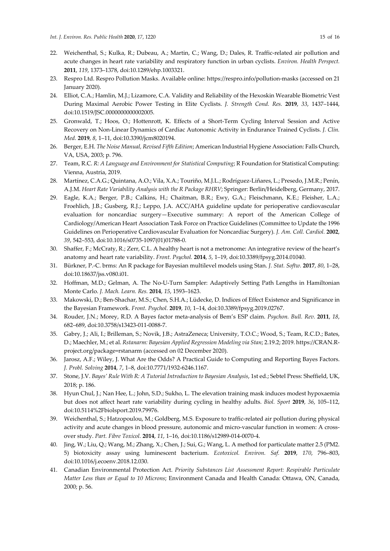- 22. Weichenthal, S.; Kulka, R.; Dubeau, A.; Martin, C.; Wang, D.; Dales, R. Traffic-related air pollution and acute changes in heart rate variability and respiratory function in urban cyclists. *Environ. Health Perspect.* **2011**, *119*, 1373–1378, doi:10.1289/ehp.1003321.
- 23. Respro Ltd. Respro Pollution Masks. Available online: https://respro.info/pollution‐masks (accessed on 21 January 2020).
- 24. Elliot, C.A.; Hamlin, M.J.; Lizamore, C.A. Validity and Reliability of the Hexoskin Wearable Biometric Vest During Maximal Aerobic Power Testing in Elite Cyclists. *J. Strength Cond. Res.* **2019**, *33*, 1437–1444, doi:10.1519/JSC.0000000000002005.
- 25. Gronwald, T.; Hoos, O.; Hottenrott, K. Effects of a Short‐Term Cycling Interval Session and Active Recovery on Non‐Linear Dynamics of Cardiac Autonomic Activity in Endurance Trained Cyclists. *J. Clin. Med.* **2019**, *8*, 1–11, doi:10.3390/jcm8020194.
- 26. Berger, E.H. *The Noise Manual, Revised Fifth Edition*; American Industrial Hygiene Association: Falls Church, VA, USA, 2003; p. 796.
- 27. Team, R.C. *R: A Language and Environment for Statistical Computing*; R Foundation for Statistical Computing: Vienna, Austria, 2019.
- 28. Martínez, C.A.G.; Quintana, A.O.; Vila, X.A.; Touriño, M.J.L.; Rodríguez‐Liñares, L.; Presedo, J.M.R.; Penín, A.J.M. *Heart Rate Variability Analysis with the R Package RHRV*; Springer: Berlin/Heidelberg, Germany, 2017.
- 29. Eagle, K.A.; Berger, P.B.; Calkins, H.; Chaitman, B.R.; Ewy, G.A.; Fleischmann, K.E.; Fleisher, L.A.; Froehlich, J.B.; Gusberg, R.J.; Leppo, J.A. ACC/AHA guideline update for perioperative cardiovascular evaluation for noncardiac surgery—Executive summary: A report of the American College of Cardiology/American Heart Association Task Force on Practice Guidelines (Committee to Update the 1996 Guidelines on Perioperative Cardiovascular Evaluation for Noncardiac Surgery). *J. Am. Coll. Cardiol.* **2002**, *39*, 542–553, doi:10.1016/s0735‐1097(01)01788‐0.
- 30. Shaffer, F.; McCraty, R.; Zerr, C.L. A healthy heart is not a metronome: An integrative review of the heart's anatomy and heart rate variability. *Front. Psychol.* **2014**, *5*, 1–19, doi:10.3389/fpsyg.2014.01040.
- 31. Bürkner, P.‐C. brms: An R package for Bayesian multilevel models using Stan. *J. Stat. Softw.* **2017**, *80*, 1–28, doi:10.18637/jss.v080.i01.
- 32. Hoffman, M.D.; Gelman, A. The No‐U‐Turn Sampler: Adaptively Setting Path Lengths in Hamiltonian Monte Carlo. *J. Mach. Learn. Res.* **2014**, *15*, 1593–1623.
- 33. Makowski, D.; Ben‐Shachar, M.S.; Chen, S.H.A.; Lüdecke, D. Indices of Effect Existence and Significance in the Bayesian Framework. *Front. Psychol.* **2019**, *10*, 1–14, doi:10.3389/fpsyg.2019.02767.
- 34. Rouder, J.N.; Morey, R.D. A Bayes factor meta‐analysis of Bem's ESP claim. *Psychon. Bull. Rev.* **2011**, *18*, 682–689, doi:10.3758/s13423‐011‐0088‐7.
- 35. Gabry, J.; Ali, I.; Brilleman, S.; Novik, J.B.; AstraZeneca; University, T.O.C.; Wood, S.; Team, R.C.D.; Bates, D.; Maechler, M.; et al. *Rstanarm: Bayesian Applied Regression Modeling via Stan*; 2.19.2; 2019. https://CRAN.R‐ project.org/package=rstanarm (accessed on 02 December 2020).
- 36. Jarosz, A.F.; Wiley, J. What Are the Odds? A Practical Guide to Computing and Reporting Bayes Factors. *J. Probl. Solving* **2014**, *7*, 1–8, doi:10.7771/1932‐6246.1167.
- 37. Stone, J.V. *Bayes' Rule With R: A Tutorial Introduction to Bayesian Analysis*, 1st ed.; Sebtel Press: Sheffield, UK, 2018; p. 186.
- 38. Hyun Chul, J.; Nan Hee, L.; John, S.D.; Sukho, L. The elevation training mask induces modest hypoxaemia but does not affect heart rate variability during cycling in healthy adults. *Biol. Sport* **2019**, *36*, 105–112, doi:10.5114%2Fbiolsport.2019.79976.
- 39. Weichenthal, S.; Hatzopoulou, M.; Goldberg, M.S. Exposure to traffic-related air pollution during physical activity and acute changes in blood pressure, autonomic and micro-vascular function in women: A crossover study. *Part. Fibre Toxicol.* **2014**, *11*, 1–16, doi:10.1186/s12989‐014‐0070‐4.
- 40. Jing, W.; Liu, Q.; Wang, M.; Zhang, X.; Chen, J.; Sui, G.; Wang, L. A method for particulate matter 2.5 (PM2. 5) biotoxicity assay using luminescent bacterium. *Ecotoxicol. Environ. Saf.* **2019**, *170*, 796–803, doi:10.1016/j.ecoenv.2018.12.030.
- 41. Canadian Environmental Protection Act. *Priority Substances List Assessment Report: Respirable Particulate Matter Less than or Equal to 10 Microns*; Environment Canada and Health Canada: Ottawa, ON, Canada, 2000; p. 56.